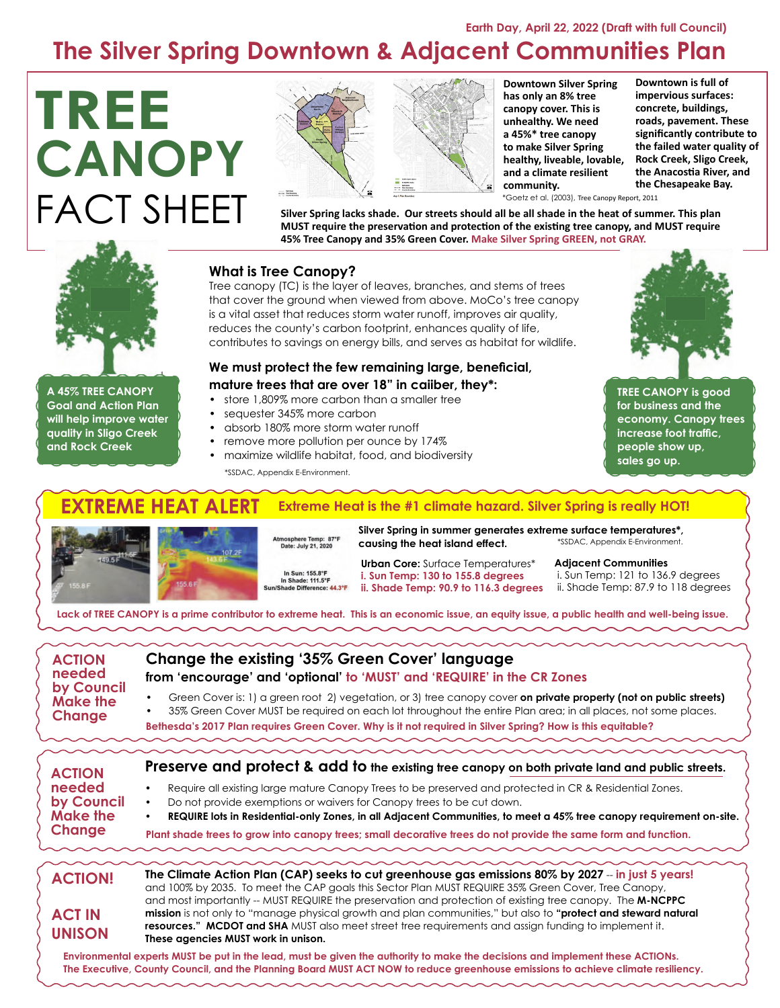# **Earth Day, April 22, 2022 (Draft with full Council) The Silver Spring Downtown & Adjacent Communities Plan**

# **TREE CANOPY** FACT SHEET





**Downtown is full of impervious surfaces: concrete, buildings, roads, pavement. These significantly contribute to the failed water quality of Rock Creek, Sligo Creek, the Anacostia River, and the Chesapeake Bay.**

\*Goetz et al. (2003), Tree Canopy Report, 2011

**Silver Spring lacks shade. Our streets should all be all shade in the heat of summer. This plan MUST require the preservation and protection of the existing tree canopy, and MUST require 45% Tree Canopy and 35% Green Cover. Make Silver Spring GREEN, not GRAY.**

## **What is Tree Canopy?**

Tree canopy (TC) is the layer of leaves, branches, and stems of trees that cover the ground when viewed from above. MoCo's tree canopy is a vital asset that reduces storm water runoff, improves air quality, reduces the county's carbon footprint, enhances quality of life, contributes to savings on energy bills, and serves as habitat for wildlife.

## **We must protect the few remaining large, beneficial,**

### **mature trees that are over 18" in caiiber, they\*:**

- store 1,809% more carbon than a smaller tree
- sequester 345% more carbon
- absorb 180% more storm water runoff
- remove more pollution per ounce by 174%
- maximize wildlife habitat, food, and biodiversity

\*SSDAC, Appendix E-Environment.

#### **TREME HEAT ALERT Extreme Heat is the #1 climate hazard. Silver Spring is really HOT!**



**and Rock Creek** 



In Sun: 155.8°F

**Silver Spring in summer generates extreme surface temperatures\*, causing the heat island effect.**  \*SSDAC, Appendix E-Environment.

**Urban Core:** Surface Temperatures\* **i. Sun Temp: 130 to 155.8 degrees ii. Shade Temp: 90.9 to 116.3 degrees**

**Adjacent Communities**

i. Sun Temp: 121 to 136.9 degrees ii. Shade Temp: 87.9 to 118 degrees

**TREE CANOPY is good for business and the economy. Canopy trees increase foot traffic, people show up, sales go up.**

**Lack of TREE CANOPY is a prime contributor to extreme heat. This is an economic issue, an equity issue, a public health and well-being issue.**

| <b>ACTION</b><br>needed<br>by Council<br>Make the<br>Change                                                                                                                                                                                                       | Change the existing '35% Green Cover' language<br>from 'encourage' and 'optional' to 'MUST' and 'REQUIRE' in the CR Zones                                                                                                                                                                                                                         |
|-------------------------------------------------------------------------------------------------------------------------------------------------------------------------------------------------------------------------------------------------------------------|---------------------------------------------------------------------------------------------------------------------------------------------------------------------------------------------------------------------------------------------------------------------------------------------------------------------------------------------------|
|                                                                                                                                                                                                                                                                   | Green Cover is: 1) a green root 2) vegetation, or 3) tree canopy cover on private property (not on public streets)<br>35% Green Cover MUST be required on each lot throughout the entire Plan area; in all places, not some places.<br>Bethesda's 2017 Plan requires Green Cover. Why is it not required in Silver Spring? How is this equitable? |
| <b>ACTION</b><br>needed<br>by Council<br><b>Make the</b><br>Change                                                                                                                                                                                                | Preserve and protect & add to the existing tree canopy on both private land and public streets.                                                                                                                                                                                                                                                   |
|                                                                                                                                                                                                                                                                   | Require all existing large mature Canopy Trees to be preserved and protected in CR & Residential Zones.<br>Do not provide exemptions or waivers for Canopy trees to be cut down.<br>REQUIRE lots in Residential-only Zones, in all Adjacent Communities, to meet a 45% tree canopy requirement on-site.                                           |
|                                                                                                                                                                                                                                                                   | Plant shade trees to grow into canopy trees; small decorative trees do not provide the same form and function.                                                                                                                                                                                                                                    |
| <b>ACTION!</b>                                                                                                                                                                                                                                                    | The Climate Action Plan (CAP) seeks to cut greenhouse gas emissions 80% by 2027 - in just 5 years!<br>and 100% by 2035. To meet the CAP goals this Sector Plan MUST REQUIRE 35% Green Cover, Tree Canopy,<br>and most importantly -- MUST REQUIRE the preservation and protection of existing tree canopy. The M-NCPPC                            |
| <b>ACT IN</b><br><b>UNISON</b>                                                                                                                                                                                                                                    | mission is not only to "manage physical growth and plan communities," but also to "protect and steward natural<br>resources." MCDOT and SHA MUST also meet street tree requirements and assign funding to implement it.<br>These agencies MUST work in unison.                                                                                    |
| Environmental experts MUST be put in the lead, must be given the authority to make the decisions and implement these ACTIONs.<br>The Executive, County Council, and the Planning Board MUST ACT NOW to reduce greenhouse emissions to achieve climate resiliency. |                                                                                                                                                                                                                                                                                                                                                   |



Atmosphere Temp: 87\*F<br>Date: July 21, 2020

In Shade: 111.5°F<br>hade Difference: 44.3°F